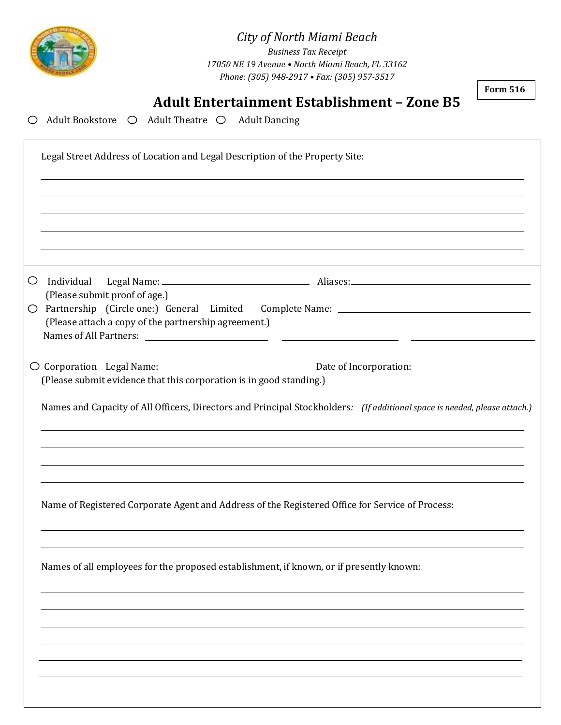

*City of North Miami Beach*

 *Phone: (305) 948-2917 • Fax: (305) 957-3517 Business Tax Receipt 17050 NE 19 Avenue • North Miami Beach, FL 33162*

**Form 516**

## **Adult Entertainment Establishment – Zone B5**

 $\bigcirc$  Adult Bookstore  $\bigcirc$  Adult Theatre  $\bigcirc$  Adult Dancing

|            | Legal Street Address of Location and Legal Description of the Property Site:                                                              |
|------------|-------------------------------------------------------------------------------------------------------------------------------------------|
|            |                                                                                                                                           |
|            |                                                                                                                                           |
| $\bigcirc$ | (Please submit proof of age.)                                                                                                             |
| $\bigcirc$ | Partnership (Circle one:) General Limited Complete Name: ________________________<br>(Please attach a copy of the partnership agreement.) |
|            | (Please submit evidence that this corporation is in good standing.)                                                                       |
|            | Names and Capacity of All Officers, Directors and Principal Stockholders: (If additional space is needed, please attach.)                 |
|            | Name of Registered Corporate Agent and Address of the Registered Office for Service of Process:                                           |
|            | Names of all employees for the proposed establishment, if known, or if presently known:                                                   |
|            |                                                                                                                                           |
|            |                                                                                                                                           |
|            |                                                                                                                                           |